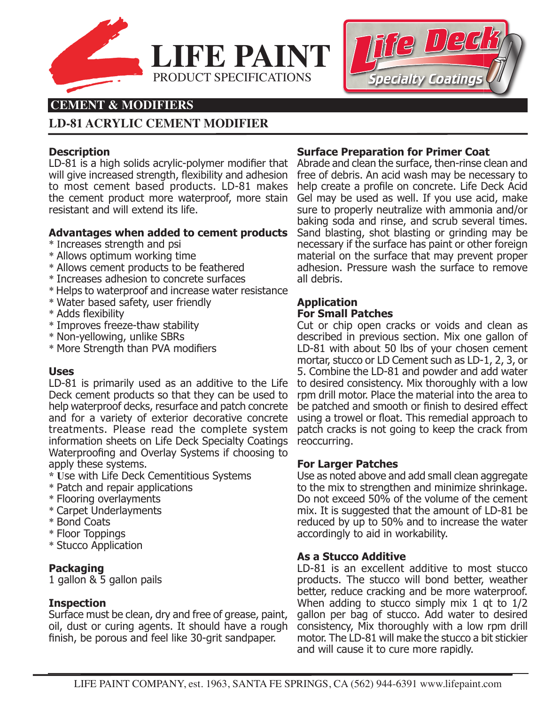



# **CEMENT & MODIFIERS**

# **LD-81 ACRYLIC CEMENT MODIFIER**

# **Description**

LD-81 is a high solids acrylic-polymer modifier that Abrade and clean the surface, then-rinse clean and will give increased strength, flexibility and adhesion to most cement based products. LD-81 makes the cement product more waterproof, more stain resistant and will extend its life.

# **Advantages when added to cement products**

- \* Increases strength and psi
- \* Allows optimum working time
- \* Allows cement products to be feathered
- \* Increases adhesion to concrete surfaces
- \* Helps to waterproof and increase water resistance
- \* Water based safety, user friendly
- \* Adds flexibility
- \* Improves freeze-thaw stability
- \* Non-yellowing, unlike SBRs
- \* More Strength than PVA modifiers

# **Uses**

LD-81 is primarily used as an additive to the Life Deck cement products so that they can be used to help waterproof decks, resurface and patch concrete and for a variety of exterior decorative concrete treatments. Please read the complete system information sheets on Life Deck Specialty Coatings Waterproofing and Overlay Systems if choosing to apply these systems.

- **\* U**se with Life Deck Cementitious Systems
- \* Patch and repair applications
- \* Flooring overlayments
- \* Carpet Underlayments
- \* Bond Coats
- \* Floor Toppings
- \* Stucco Application

# **Packaging**

1 gallon & 5 gallon pails

#### **Inspection**

Surface must be clean, dry and free of grease, paint, oil, dust or curing agents. It should have a rough finish, be porous and feel like 30-grit sandpaper.

#### **Surface Preparation for Primer Coat**

free of debris. An acid wash may be necessary to help create a profile on concrete. Life Deck Acid Gel may be used as well. If you use acid, make sure to properly neutralize with ammonia and/or baking soda and rinse, and scrub several times. Sand blasting, shot blasting or grinding may be necessary if the surface has paint or other foreign material on the surface that may prevent proper adhesion. Pressure wash the surface to remove all debris.

# **Application For Small Patches**

Cut or chip open cracks or voids and clean as described in previous section. Mix one gallon of LD-81 with about 50 lbs of your chosen cement mortar, stucco or LD Cement such as LD-1, 2, 3, or 5. Combine the LD-81 and powder and add water to desired consistency. Mix thoroughly with a low rpm drill motor. Place the material into the area to be patched and smooth or finish to desired effect using a trowel or float. This remedial approach to patch cracks is not going to keep the crack from reoccurring.

# **For Larger Patches**

Use as noted above and add small clean aggregate to the mix to strengthen and minimize shrinkage. Do not exceed 50% of the volume of the cement mix. It is suggested that the amount of LD-81 be reduced by up to 50% and to increase the water accordingly to aid in workability.

#### **As a Stucco Additive**

LD-81 is an excellent additive to most stucco products. The stucco will bond better, weather better, reduce cracking and be more waterproof. When adding to stucco simply mix 1 qt to  $1/2$ gallon per bag of stucco. Add water to desired consistency, Mix thoroughly with a low rpm drill motor. The LD-81 will make the stucco a bit stickier and will cause it to cure more rapidly.